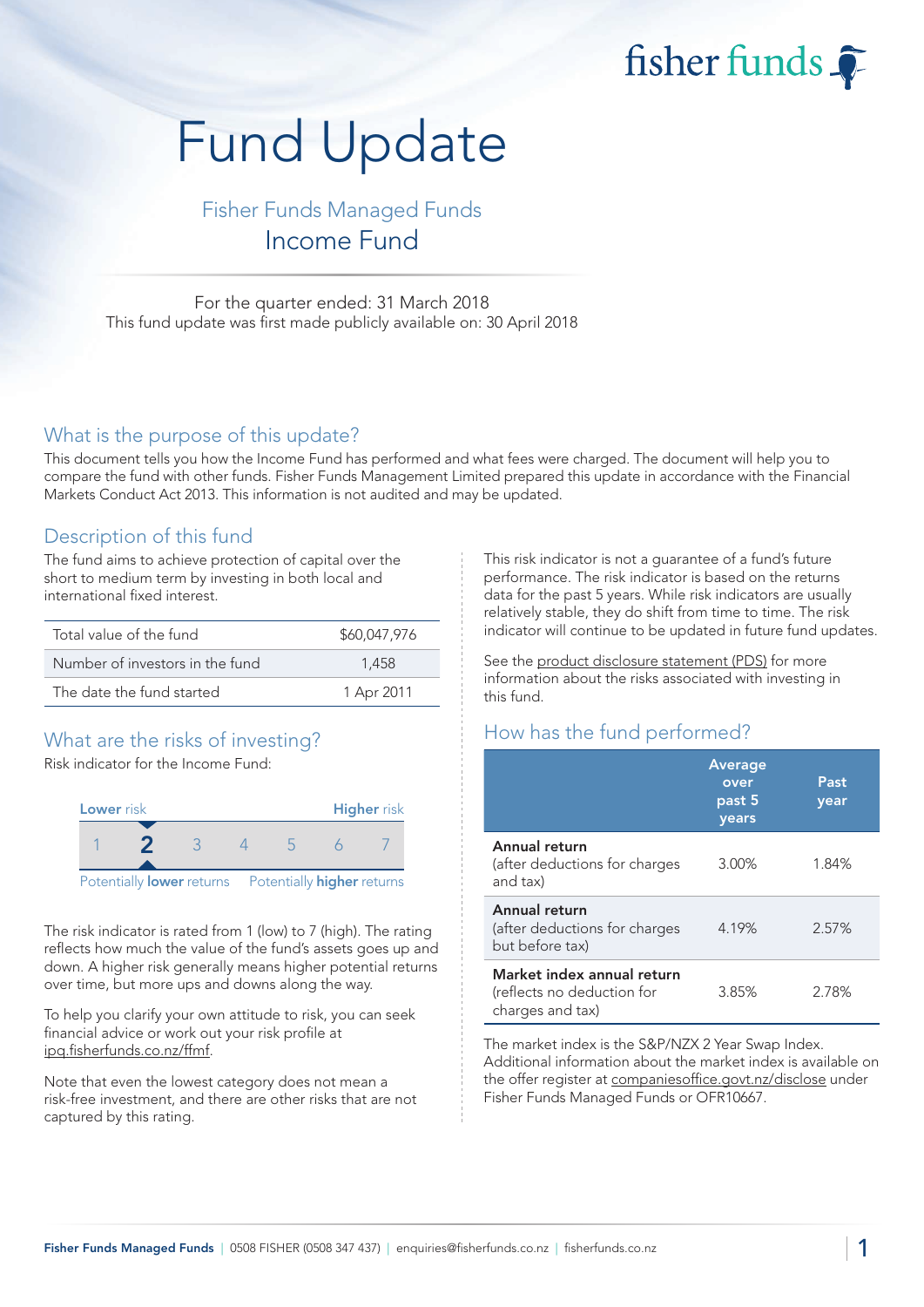fisher funds

# Fund Update

## Fisher Funds Managed Funds Income Fund

For the quarter ended: 31 March 2018 This fund update was first made publicly available on: 30 April 2018

#### What is the purpose of this update?

This document tells you how the Income Fund has performed and what fees were charged. The document will help you to compare the fund with other funds. Fisher Funds Management Limited prepared this update in accordance with the Financial Markets Conduct Act 2013. This information is not audited and may be updated.

#### Description of this fund

The fund aims to achieve protection of capital over the short to medium term by investing in both local and international fixed interest.

| Total value of the fund         | \$60,047,976 |
|---------------------------------|--------------|
| Number of investors in the fund | 1.458        |
| The date the fund started       | 1 Apr 2011   |

## What are the risks of investing?

Risk indicator for the Income Fund:



The risk indicator is rated from 1 (low) to 7 (high). The rating reflects how much the value of the fund's assets goes up and down. A higher risk generally means higher potential returns over time, but more ups and downs along the way.

To help you clarify your own attitude to risk, you can seek financial advice or work out your risk profile at [ipq.fisherfunds.co.nz/ffmf.](https://ipq.fisherfunds.co.nz/ffmf)

Note that even the lowest category does not mean a risk-free investment, and there are other risks that are not captured by this rating.

This risk indicator is not a guarantee of a fund's future performance. The risk indicator is based on the returns data for the past 5 years. While risk indicators are usually relatively stable, they do shift from time to time. The risk indicator will continue to be updated in future fund updates.

See the [product disclosure statement \(PDS\)](https://fisherfunds.co.nz/assets/PDS/Fisher-Funds-Managed-Funds-PDS.pdf) for more information about the risks associated with investing in this fund.

## How has the fund performed?

|                                                                              | <b>Average</b><br>over<br>past 5<br>years | Past<br>year |
|------------------------------------------------------------------------------|-------------------------------------------|--------------|
| Annual return<br>(after deductions for charges<br>and tax)                   | 3.00%                                     | 1.84%        |
| Annual return<br>(after deductions for charges<br>but before tax)            | 4.19%                                     | $2.57\%$     |
| Market index annual return<br>(reflects no deduction for<br>charges and tax) | 3.85%                                     | 2.78%        |

The market index is the S&P/NZX 2 Year Swap Index. Additional information about the market index is available on the offer register at [companiesoffice.govt.nz/disclose](http://companiesoffice.govt.nz/disclose) under Fisher Funds Managed Funds or OFR10667.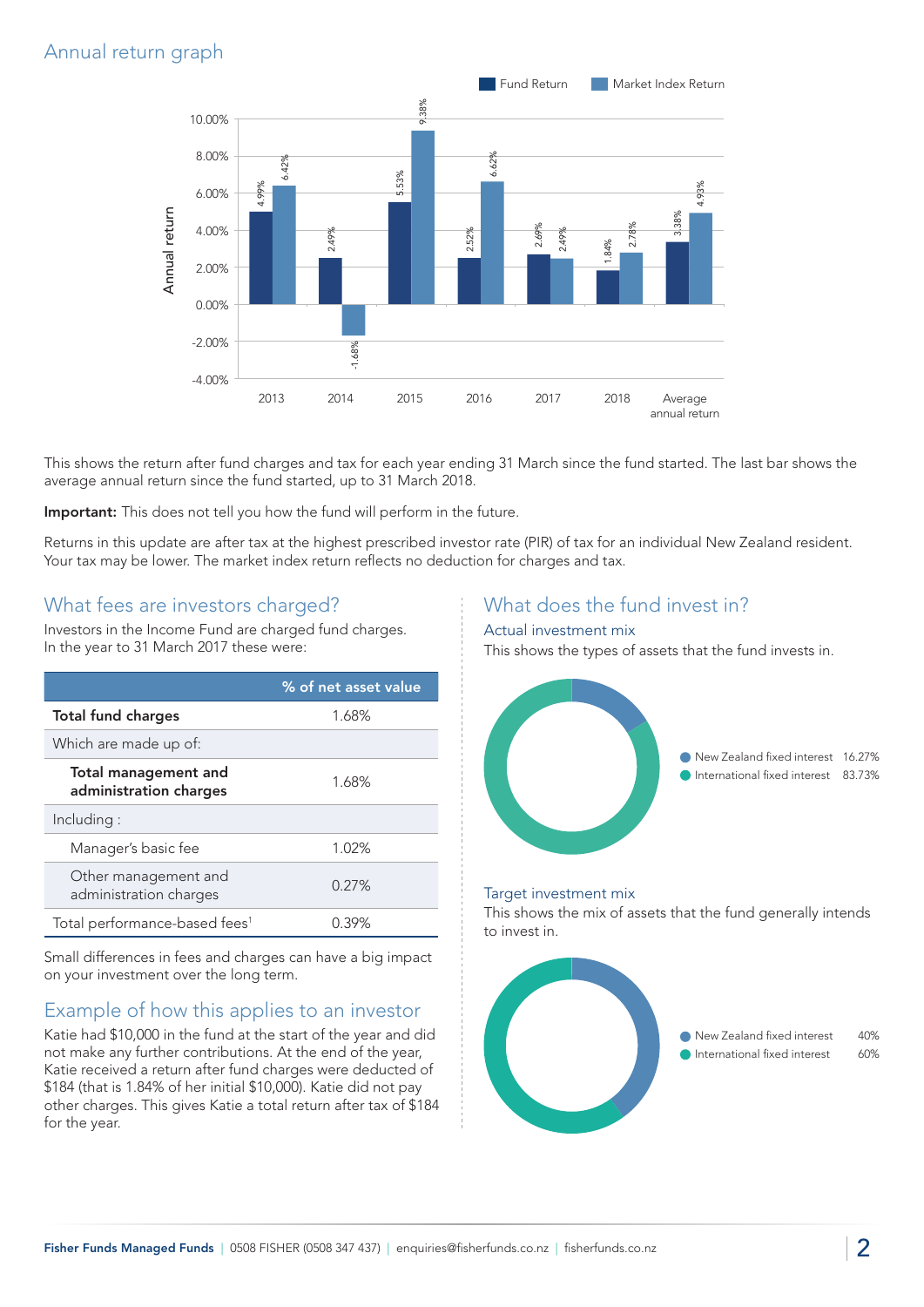## Annual return graph



This shows the return after fund charges and tax for each year ending 31 March since the fund started. The last bar shows the average annual return since the fund started, up to 31 March 2018.

Important: This does not tell you how the fund will perform in the future.

Returns in this update are after tax at the highest prescribed investor rate (PIR) of tax for an individual New Zealand resident. Your tax may be lower. The market index return reflects no deduction for charges and tax.

#### What fees are investors charged?

Investors in the Income Fund are charged fund charges. In the year to 31 March 2017 these were:

|                                                | % of net asset value |
|------------------------------------------------|----------------------|
| <b>Total fund charges</b>                      | 1.68%                |
| Which are made up of:                          |                      |
| Total management and<br>administration charges | 1.68%                |
| Including:                                     |                      |
| Manager's basic fee                            | 1.02%                |
| Other management and<br>administration charges | 0.27%                |
| Total performance-based fees <sup>1</sup>      | 0.39%                |

Small differences in fees and charges can have a big impact on your investment over the long term.

## Example of how this applies to an investor

Katie had \$10,000 in the fund at the start of the year and did not make any further contributions. At the end of the year, Katie received a return after fund charges were deducted of \$184 (that is 1.84% of her initial \$10,000). Katie did not pay other charges. This gives Katie a total return after tax of \$184 for the year.

### What does the fund invest in?

#### Actual investment mix

This shows the types of assets that the fund invests in.



#### Target investment mix

This shows the mix of assets that the fund generally intends to invest in.